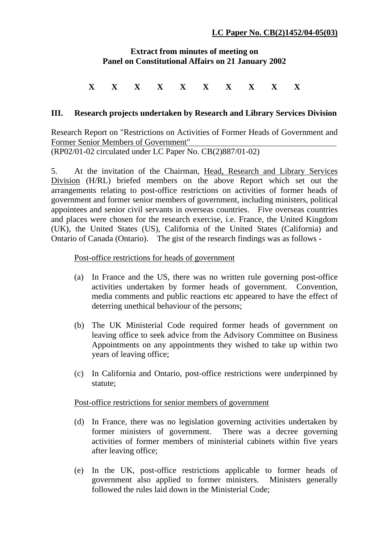## **Extract from minutes of meeting on Panel on Constitutional Affairs on 21 January 2002**

# **X X X X X X X X X X**

### **III. Research projects undertaken by Research and Library Services Division**

Research Report on "Restrictions on Activities of Former Heads of Government and Former Senior Members of Government" (RP02/01-02 circulated under LC Paper No. CB(2)887/01-02)

5. At the invitation of the Chairman, Head, Research and Library Services Division (H/RL) briefed members on the above Report which set out the arrangements relating to post-office restrictions on activities of former heads of government and former senior members of government, including ministers, political appointees and senior civil servants in overseas countries. Five overseas countries and places were chosen for the research exercise, i.e. France, the United Kingdom (UK), the United States (US), California of the United States (California) and Ontario of Canada (Ontario). The gist of the research findings was as follows -

#### Post-office restrictions for heads of government

- (a) In France and the US, there was no written rule governing post-office activities undertaken by former heads of government. Convention, media comments and public reactions etc appeared to have the effect of deterring unethical behaviour of the persons;
- (b) The UK Ministerial Code required former heads of government on leaving office to seek advice from the Advisory Committee on Business Appointments on any appointments they wished to take up within two years of leaving office;
- (c) In California and Ontario, post-office restrictions were underpinned by statute;

#### Post-office restrictions for senior members of government

- (d) In France, there was no legislation governing activities undertaken by former ministers of government. There was a decree governing activities of former members of ministerial cabinets within five years after leaving office;
- (e) In the UK, post-office restrictions applicable to former heads of government also applied to former ministers. Ministers generally followed the rules laid down in the Ministerial Code;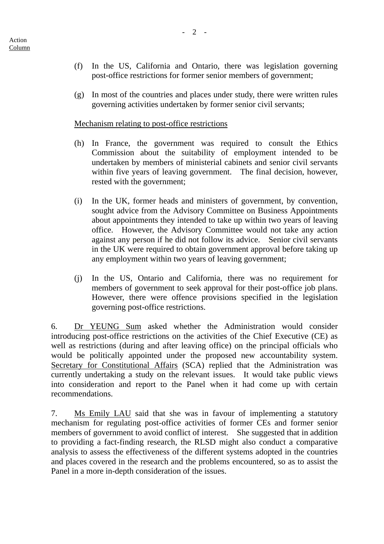- (f) In the US, California and Ontario, there was legislation governing post-office restrictions for former senior members of government;
- (g) In most of the countries and places under study, there were written rules governing activities undertaken by former senior civil servants;

## Mechanism relating to post-office restrictions

- (h) In France, the government was required to consult the Ethics Commission about the suitability of employment intended to be undertaken by members of ministerial cabinets and senior civil servants within five years of leaving government. The final decision, however, rested with the government;
- (i) In the UK, former heads and ministers of government, by convention, sought advice from the Advisory Committee on Business Appointments about appointments they intended to take up within two years of leaving office. However, the Advisory Committee would not take any action against any person if he did not follow its advice. Senior civil servants in the UK were required to obtain government approval before taking up any employment within two years of leaving government;
- (j) In the US, Ontario and California, there was no requirement for members of government to seek approval for their post-office job plans. However, there were offence provisions specified in the legislation governing post-office restrictions.

6. Dr YEUNG Sum asked whether the Administration would consider introducing post-office restrictions on the activities of the Chief Executive (CE) as well as restrictions (during and after leaving office) on the principal officials who would be politically appointed under the proposed new accountability system. Secretary for Constitutional Affairs (SCA) replied that the Administration was currently undertaking a study on the relevant issues. It would take public views into consideration and report to the Panel when it had come up with certain recommendations.

7. Ms Emily LAU said that she was in favour of implementing a statutory mechanism for regulating post-office activities of former CEs and former senior members of government to avoid conflict of interest. She suggested that in addition to providing a fact-finding research, the RLSD might also conduct a comparative analysis to assess the effectiveness of the different systems adopted in the countries and places covered in the research and the problems encountered, so as to assist the Panel in a more in-depth consideration of the issues.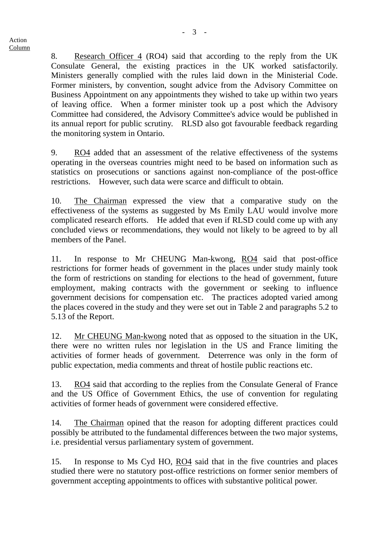8. Research Officer 4 (RO4) said that according to the reply from the UK Consulate General, the existing practices in the UK worked satisfactorily. Ministers generally complied with the rules laid down in the Ministerial Code. Former ministers, by convention, sought advice from the Advisory Committee on Business Appointment on any appointments they wished to take up within two years of leaving office. When a former minister took up a post which the Advisory Committee had considered, the Advisory Committee's advice would be published in its annual report for public scrutiny. RLSD also got favourable feedback regarding the monitoring system in Ontario.

9. RO4 added that an assessment of the relative effectiveness of the systems operating in the overseas countries might need to be based on information such as statistics on prosecutions or sanctions against non-compliance of the post-office restrictions. However, such data were scarce and difficult to obtain.

10. The Chairman expressed the view that a comparative study on the effectiveness of the systems as suggested by Ms Emily LAU would involve more complicated research efforts. He added that even if RLSD could come up with any concluded views or recommendations, they would not likely to be agreed to by all members of the Panel.

11. In response to Mr CHEUNG Man-kwong, RO4 said that post-office restrictions for former heads of government in the places under study mainly took the form of restrictions on standing for elections to the head of government, future employment, making contracts with the government or seeking to influence government decisions for compensation etc. The practices adopted varied among the places covered in the study and they were set out in Table 2 and paragraphs 5.2 to 5.13 of the Report.

12. Mr CHEUNG Man-kwong noted that as opposed to the situation in the UK, there were no written rules nor legislation in the US and France limiting the activities of former heads of government. Deterrence was only in the form of public expectation, media comments and threat of hostile public reactions etc.

13. RO4 said that according to the replies from the Consulate General of France and the US Office of Government Ethics, the use of convention for regulating activities of former heads of government were considered effective.

14. The Chairman opined that the reason for adopting different practices could possibly be attributed to the fundamental differences between the two major systems, i.e. presidential versus parliamentary system of government.

15. In response to Ms Cyd HO, RO4 said that in the five countries and places studied there were no statutory post-office restrictions on former senior members of government accepting appointments to offices with substantive political power.